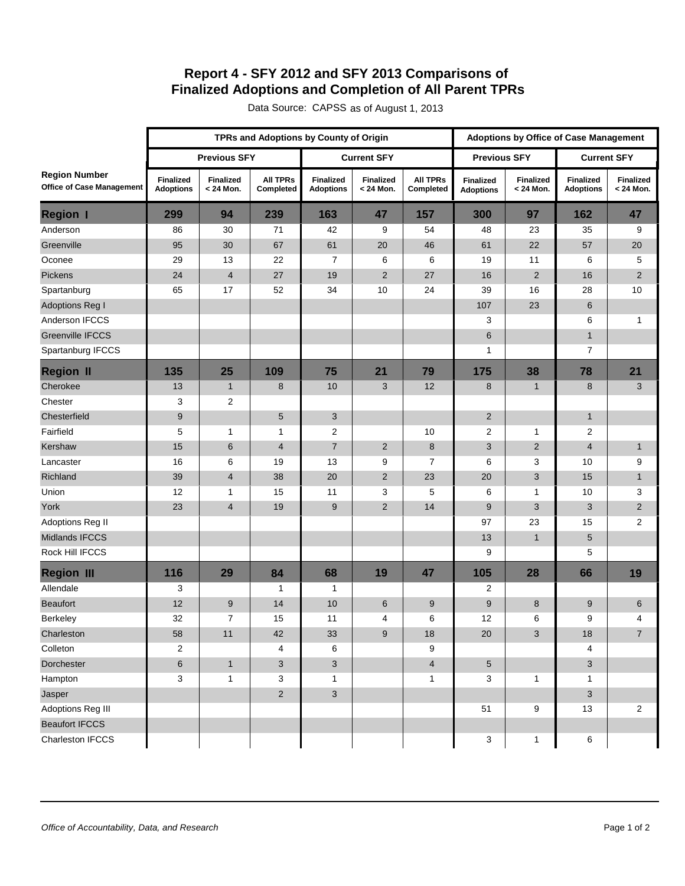## **Report 4 - SFY 2012 and SFY 2013 Comparisons of Finalized Adoptions and Completion of All Parent TPRs**

|                                                          | TPRs and Adoptions by County of Origin |                               |                              |                                      |                               |                              |                                      | <b>Adoptions by Office of Case Management</b> |                                      |                               |  |  |
|----------------------------------------------------------|----------------------------------------|-------------------------------|------------------------------|--------------------------------------|-------------------------------|------------------------------|--------------------------------------|-----------------------------------------------|--------------------------------------|-------------------------------|--|--|
|                                                          | <b>Previous SFY</b>                    |                               |                              | <b>Current SFY</b>                   |                               |                              | <b>Previous SFY</b>                  |                                               | <b>Current SFY</b>                   |                               |  |  |
| <b>Region Number</b><br><b>Office of Case Management</b> | <b>Finalized</b><br><b>Adoptions</b>   | <b>Finalized</b><br>< 24 Mon. | <b>AII TPRS</b><br>Completed | <b>Finalized</b><br><b>Adoptions</b> | <b>Finalized</b><br>< 24 Mon. | <b>AII TPRS</b><br>Completed | <b>Finalized</b><br><b>Adoptions</b> | <b>Finalized</b><br>< 24 Mon.                 | <b>Finalized</b><br><b>Adoptions</b> | <b>Finalized</b><br>< 24 Mon. |  |  |
| <b>Region I</b>                                          | 299                                    | 94                            | 239                          | 163                                  | 47                            | 157                          | 300                                  | 97                                            | 162                                  | 47                            |  |  |
| Anderson                                                 | 86                                     | 30                            | 71                           | 42                                   | 9                             | 54                           | 48                                   | 23                                            | 35                                   | 9                             |  |  |
| Greenville                                               | 95                                     | 30                            | 67                           | 61                                   | 20                            | 46                           | 61                                   | 22                                            | 57                                   | 20                            |  |  |
| Oconee                                                   | 29                                     | 13                            | 22                           | $\overline{7}$                       | 6                             | 6                            | 19                                   | 11                                            | 6                                    | 5                             |  |  |
| Pickens                                                  | 24                                     | $\overline{4}$                | 27                           | 19                                   | $\overline{2}$                | 27                           | 16                                   | $\overline{2}$                                | 16                                   | $\overline{2}$                |  |  |
| Spartanburg                                              | 65                                     | 17                            | 52                           | 34                                   | 10                            | 24                           | 39                                   | 16                                            | 28                                   | 10                            |  |  |
| <b>Adoptions Reg I</b>                                   |                                        |                               |                              |                                      |                               |                              | 107                                  | 23                                            | 6                                    |                               |  |  |
| Anderson IFCCS                                           |                                        |                               |                              |                                      |                               |                              | 3                                    |                                               | 6                                    | 1                             |  |  |
| <b>Greenville IFCCS</b>                                  |                                        |                               |                              |                                      |                               |                              | 6                                    |                                               | $\mathbf{1}$                         |                               |  |  |
| Spartanburg IFCCS                                        |                                        |                               |                              |                                      |                               |                              | 1                                    |                                               | 7                                    |                               |  |  |
| <b>Region II</b>                                         | 135                                    | 25                            | 109                          | 75                                   | 21                            | 79                           | 175                                  | 38                                            | 78                                   | 21                            |  |  |
| Cherokee                                                 | 13                                     | $\mathbf{1}$                  | 8                            | 10                                   | 3                             | 12                           | 8                                    | $\mathbf{1}$                                  | 8                                    | 3                             |  |  |
| Chester                                                  | 3                                      | 2                             |                              |                                      |                               |                              |                                      |                                               |                                      |                               |  |  |
| Chesterfield                                             | 9                                      |                               | 5                            | 3                                    |                               |                              | $\overline{2}$                       |                                               | $\mathbf{1}$                         |                               |  |  |
| Fairfield                                                | 5                                      | $\mathbf{1}$                  | $\mathbf{1}$                 | 2                                    |                               | 10                           | 2                                    | 1                                             | 2                                    |                               |  |  |
| Kershaw                                                  | 15                                     | 6                             | $\overline{4}$               | $\overline{7}$                       | $\overline{2}$                | 8                            | 3                                    | $\overline{2}$                                | $\overline{4}$                       | $\mathbf{1}$                  |  |  |
| Lancaster                                                | 16                                     | 6                             | 19                           | 13                                   | 9                             | $\overline{7}$               | 6                                    | 3                                             | 10                                   | 9                             |  |  |
| Richland                                                 | 39                                     | $\overline{4}$                | 38                           | 20                                   | $\overline{2}$                | 23                           | 20                                   | 3                                             | 15                                   | $\mathbf{1}$                  |  |  |
| Union                                                    | 12                                     | $\mathbf{1}$                  | 15                           | 11                                   | 3                             | 5                            | 6                                    | $\mathbf{1}$                                  | 10                                   | 3                             |  |  |
| York                                                     | 23                                     | $\overline{4}$                | 19                           | 9                                    | $\overline{2}$                | 14                           | 9                                    | 3                                             | 3                                    | $\overline{2}$                |  |  |
| Adoptions Reg II                                         |                                        |                               |                              |                                      |                               |                              | 97                                   | 23                                            | 15                                   | 2                             |  |  |
| <b>Midlands IFCCS</b>                                    |                                        |                               |                              |                                      |                               |                              | 13                                   | $\mathbf{1}$                                  | 5                                    |                               |  |  |
| Rock Hill IFCCS                                          |                                        |                               |                              |                                      |                               |                              | 9                                    |                                               | 5                                    |                               |  |  |
| <b>Region III</b>                                        | 116                                    | 29                            | 84                           | 68                                   | 19                            | 47                           | 105                                  | 28                                            | 66                                   | 19                            |  |  |
| Allendale                                                | 3                                      |                               | $\mathbf{1}$                 | $\mathbf{1}$                         |                               |                              | 2                                    |                                               |                                      |                               |  |  |
| Beaufort                                                 | 12                                     | 9                             | 14                           | 10                                   | $6\phantom{1}6$               | 9                            | 9                                    | 8                                             | 9                                    | 6                             |  |  |
| Berkeley                                                 | 32                                     | $\overline{7}$                | 15                           | 11                                   | 4                             | 6                            | 12                                   | 6                                             | 9                                    | 4                             |  |  |
| Charleston                                               | 58                                     | 11                            | 42                           | 33                                   | 9                             | 18                           | $20\,$                               | $\mathbf{3}$                                  | 18                                   | $\overline{7}$                |  |  |
| Colleton                                                 | 2                                      |                               | 4                            | 6                                    |                               | 9                            |                                      |                                               | 4                                    |                               |  |  |
| Dorchester                                               | 6                                      | $\mathbf{1}$                  | 3                            | 3                                    |                               | $\overline{\mathbf{4}}$      | 5                                    |                                               | 3                                    |                               |  |  |
| Hampton                                                  | 3                                      | 1                             | 3                            | $\mathbf{1}$                         |                               | 1                            | 3                                    | $\mathbf{1}$                                  | $\mathbf{1}$                         |                               |  |  |
| Jasper                                                   |                                        |                               | $\overline{2}$               | 3                                    |                               |                              |                                      |                                               | 3                                    |                               |  |  |
| Adoptions Reg III                                        |                                        |                               |                              |                                      |                               |                              | 51                                   | 9                                             | 13                                   | $\overline{c}$                |  |  |
| <b>Beaufort IFCCS</b>                                    |                                        |                               |                              |                                      |                               |                              |                                      |                                               |                                      |                               |  |  |
| Charleston IFCCS                                         |                                        |                               |                              |                                      |                               |                              | 3                                    | $\mathbf{1}$                                  | 6                                    |                               |  |  |

Data Source: CAPSS as of August 1, 2013